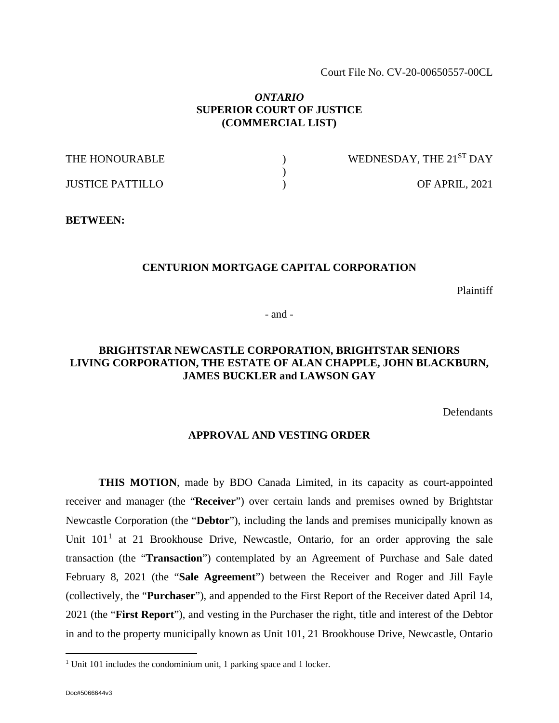Court File No. CV-20-00650557-00CL

#### *ONTARIO* **SUPERIOR COURT OF JUSTICE (COMMERCIAL LIST)**

| THE HONOURABLE          | WEDNESDAY, THE 21 <sup>ST</sup> DAY |
|-------------------------|-------------------------------------|
|                         |                                     |
| <b>JUSTICE PATTILLO</b> | OF APRIL, 2021                      |

#### **BETWEEN:**

#### **CENTURION MORTGAGE CAPITAL CORPORATION**

Plaintiff

- and -

## **BRIGHTSTAR NEWCASTLE CORPORATION, BRIGHTSTAR SENIORS LIVING CORPORATION, THE ESTATE OF ALAN CHAPPLE, JOHN BLACKBURN, JAMES BUCKLER and LAWSON GAY**

Defendants

#### **APPROVAL AND VESTING ORDER**

**THIS MOTION**, made by BDO Canada Limited, in its capacity as court-appointed receiver and manager (the "**Receiver**") over certain lands and premises owned by Brightstar Newcastle Corporation (the "**Debtor**"), including the lands and premises municipally known as Unit  $101<sup>1</sup>$  $101<sup>1</sup>$  at 21 Brookhouse Drive, Newcastle, Ontario, for an order approving the sale transaction (the "**Transaction**") contemplated by an Agreement of Purchase and Sale dated February 8, 2021 (the "**Sale Agreement**") between the Receiver and Roger and Jill Fayle (collectively, the "**Purchaser**"), and appended to the First Report of the Receiver dated April 14, 2021 (the "**First Report**"), and vesting in the Purchaser the right, title and interest of the Debtor in and to the property municipally known as Unit 101, 21 Brookhouse Drive, Newcastle, Ontario

<span id="page-0-0"></span> $1$  Unit 101 includes the condominium unit, 1 parking space and 1 locker.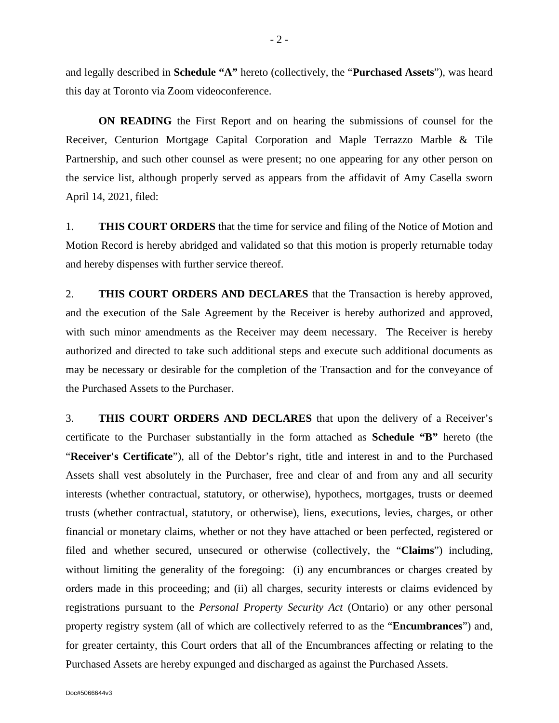and legally described in **Schedule "A"** hereto (collectively, the "**Purchased Assets**"), was heard this day at Toronto via Zoom videoconference.

**ON READING** the First Report and on hearing the submissions of counsel for the Receiver, Centurion Mortgage Capital Corporation and Maple Terrazzo Marble & Tile Partnership, and such other counsel as were present; no one appearing for any other person on the service list, although properly served as appears from the affidavit of Amy Casella sworn April 14, 2021, filed:

1. **THIS COURT ORDERS** that the time for service and filing of the Notice of Motion and Motion Record is hereby abridged and validated so that this motion is properly returnable today and hereby dispenses with further service thereof.

2. **THIS COURT ORDERS AND DECLARES** that the Transaction is hereby approved, and the execution of the Sale Agreement by the Receiver is hereby authorized and approved, with such minor amendments as the Receiver may deem necessary. The Receiver is hereby authorized and directed to take such additional steps and execute such additional documents as may be necessary or desirable for the completion of the Transaction and for the conveyance of the Purchased Assets to the Purchaser.

3. **THIS COURT ORDERS AND DECLARES** that upon the delivery of a Receiver's certificate to the Purchaser substantially in the form attached as **Schedule "B"** hereto (the "**Receiver's Certificate**"), all of the Debtor's right, title and interest in and to the Purchased Assets shall vest absolutely in the Purchaser, free and clear of and from any and all security interests (whether contractual, statutory, or otherwise), hypothecs, mortgages, trusts or deemed trusts (whether contractual, statutory, or otherwise), liens, executions, levies, charges, or other financial or monetary claims, whether or not they have attached or been perfected, registered or filed and whether secured, unsecured or otherwise (collectively, the "**Claims**") including, without limiting the generality of the foregoing: (i) any encumbrances or charges created by orders made in this proceeding; and (ii) all charges, security interests or claims evidenced by registrations pursuant to the *Personal Property Security Act* (Ontario) or any other personal property registry system (all of which are collectively referred to as the "**Encumbrances**") and, for greater certainty, this Court orders that all of the Encumbrances affecting or relating to the Purchased Assets are hereby expunged and discharged as against the Purchased Assets.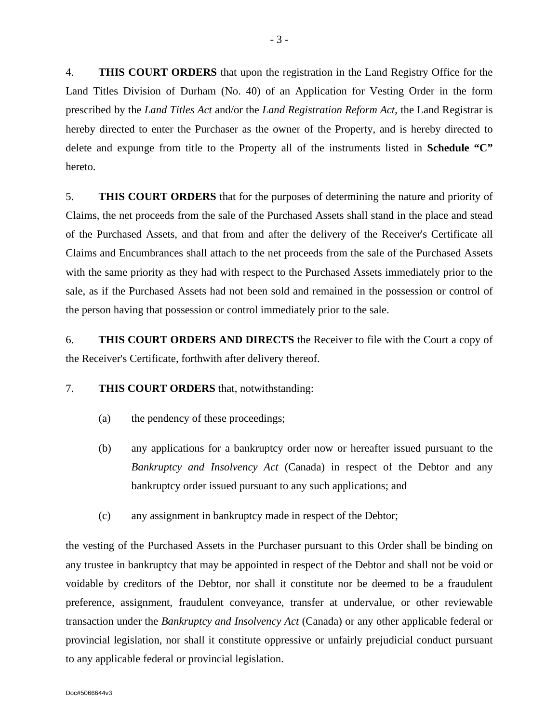4. **THIS COURT ORDERS** that upon the registration in the Land Registry Office for the Land Titles Division of Durham (No. 40) of an Application for Vesting Order in the form prescribed by the *Land Titles Act* and/or the *Land Registration Reform Act*, the Land Registrar is hereby directed to enter the Purchaser as the owner of the Property, and is hereby directed to delete and expunge from title to the Property all of the instruments listed in **Schedule "C"** hereto.

5. **THIS COURT ORDERS** that for the purposes of determining the nature and priority of Claims, the net proceeds from the sale of the Purchased Assets shall stand in the place and stead of the Purchased Assets, and that from and after the delivery of the Receiver's Certificate all Claims and Encumbrances shall attach to the net proceeds from the sale of the Purchased Assets with the same priority as they had with respect to the Purchased Assets immediately prior to the sale, as if the Purchased Assets had not been sold and remained in the possession or control of the person having that possession or control immediately prior to the sale.

6. **THIS COURT ORDERS AND DIRECTS** the Receiver to file with the Court a copy of the Receiver's Certificate, forthwith after delivery thereof.

#### 7. **THIS COURT ORDERS** that, notwithstanding:

- (a) the pendency of these proceedings;
- (b) any applications for a bankruptcy order now or hereafter issued pursuant to the *Bankruptcy and Insolvency Act* (Canada) in respect of the Debtor and any bankruptcy order issued pursuant to any such applications; and
- (c) any assignment in bankruptcy made in respect of the Debtor;

the vesting of the Purchased Assets in the Purchaser pursuant to this Order shall be binding on any trustee in bankruptcy that may be appointed in respect of the Debtor and shall not be void or voidable by creditors of the Debtor, nor shall it constitute nor be deemed to be a fraudulent preference, assignment, fraudulent conveyance, transfer at undervalue, or other reviewable transaction under the *Bankruptcy and Insolvency Act* (Canada) or any other applicable federal or provincial legislation, nor shall it constitute oppressive or unfairly prejudicial conduct pursuant to any applicable federal or provincial legislation.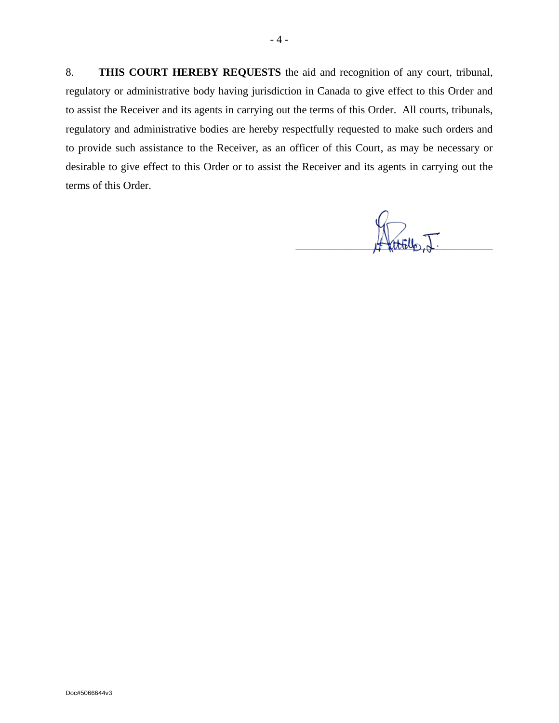8. **THIS COURT HEREBY REQUESTS** the aid and recognition of any court, tribunal, regulatory or administrative body having jurisdiction in Canada to give effect to this Order and to assist the Receiver and its agents in carrying out the terms of this Order. All courts, tribunals, regulatory and administrative bodies are hereby respectfully requested to make such orders and to provide such assistance to the Receiver, as an officer of this Court, as may be necessary or desirable to give effect to this Order or to assist the Receiver and its agents in carrying out the terms of this Order.

 $H$  and  $\Psi$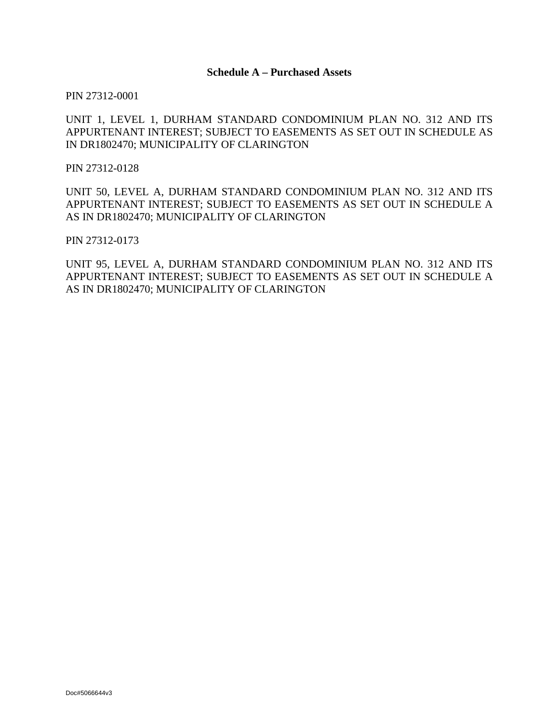PIN 27312-0001

### UNIT 1, LEVEL 1, DURHAM STANDARD CONDOMINIUM PLAN NO. 312 AND ITS APPURTENANT INTEREST; SUBJECT TO EASEMENTS AS SET OUT IN SCHEDULE AS IN DR1802470; MUNICIPALITY OF CLARINGTON

PIN 27312-0128

UNIT 50, LEVEL A, DURHAM STANDARD CONDOMINIUM PLAN NO. 312 AND ITS APPURTENANT INTEREST; SUBJECT TO EASEMENTS AS SET OUT IN SCHEDULE A AS IN DR1802470; MUNICIPALITY OF CLARINGTON

PIN 27312-0173

UNIT 95, LEVEL A, DURHAM STANDARD CONDOMINIUM PLAN NO. 312 AND ITS APPURTENANT INTEREST; SUBJECT TO EASEMENTS AS SET OUT IN SCHEDULE A AS IN DR1802470; MUNICIPALITY OF CLARINGTON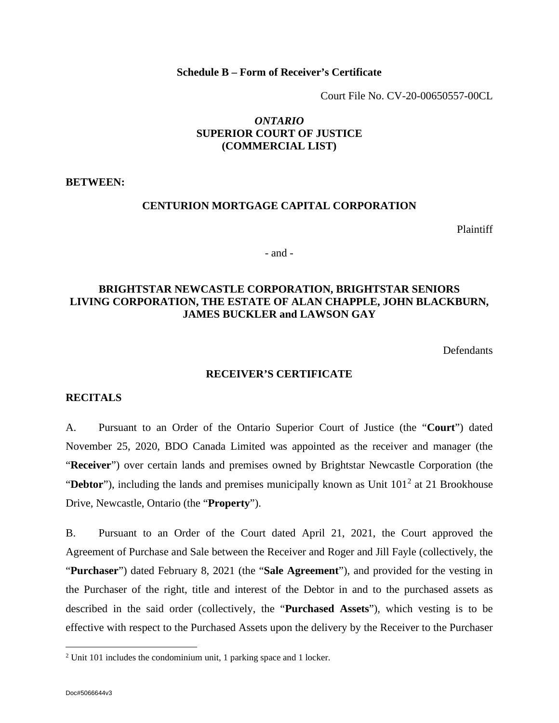#### **Schedule B – Form of Receiver's Certificate**

Court File No. CV-20-00650557-00CL

## *ONTARIO* **SUPERIOR COURT OF JUSTICE (COMMERCIAL LIST)**

**BETWEEN:**

## **CENTURION MORTGAGE CAPITAL CORPORATION**

Plaintiff

- and -

## **BRIGHTSTAR NEWCASTLE CORPORATION, BRIGHTSTAR SENIORS LIVING CORPORATION, THE ESTATE OF ALAN CHAPPLE, JOHN BLACKBURN, JAMES BUCKLER and LAWSON GAY**

**Defendants** 

#### **RECEIVER'S CERTIFICATE**

#### **RECITALS**

A. Pursuant to an Order of the Ontario Superior Court of Justice (the "**Court**") dated November 25, 2020, BDO Canada Limited was appointed as the receiver and manager (the "**Receiver**") over certain lands and premises owned by Brightstar Newcastle Corporation (the "Debtor"), including the lands and premises municipally known as Unit 101<sup>[2](#page-5-0)</sup> at 21 Brookhouse Drive, Newcastle, Ontario (the "**Property**").

B. Pursuant to an Order of the Court dated April 21, 2021, the Court approved the Agreement of Purchase and Sale between the Receiver and Roger and Jill Fayle (collectively, the "**Purchaser**") dated February 8, 2021 (the "**Sale Agreement**"), and provided for the vesting in the Purchaser of the right, title and interest of the Debtor in and to the purchased assets as described in the said order (collectively, the "**Purchased Assets**"), which vesting is to be effective with respect to the Purchased Assets upon the delivery by the Receiver to the Purchaser

<span id="page-5-0"></span><sup>2</sup> Unit 101 includes the condominium unit, 1 parking space and 1 locker.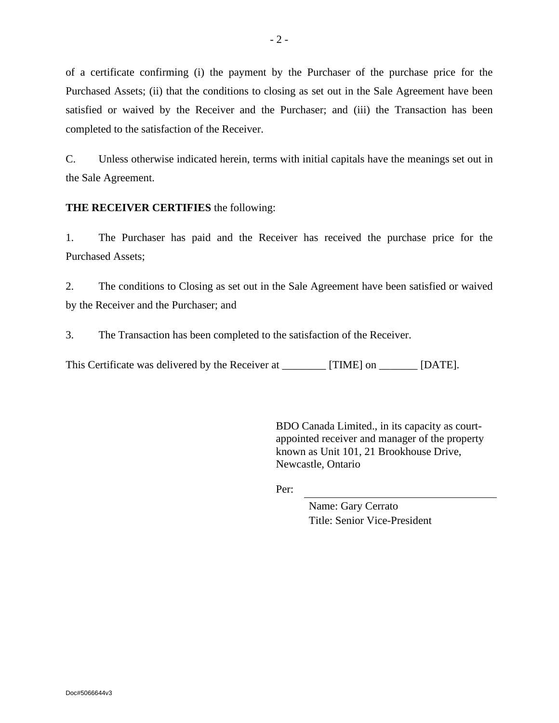of a certificate confirming (i) the payment by the Purchaser of the purchase price for the Purchased Assets; (ii) that the conditions to closing as set out in the Sale Agreement have been satisfied or waived by the Receiver and the Purchaser; and (iii) the Transaction has been completed to the satisfaction of the Receiver.

C. Unless otherwise indicated herein, terms with initial capitals have the meanings set out in the Sale Agreement.

## **THE RECEIVER CERTIFIES** the following:

1. The Purchaser has paid and the Receiver has received the purchase price for the Purchased Assets;

2. The conditions to Closing as set out in the Sale Agreement have been satisfied or waived by the Receiver and the Purchaser; and

3. The Transaction has been completed to the satisfaction of the Receiver.

This Certificate was delivered by the Receiver at \_\_\_\_\_\_\_\_\_ [TIME] on \_\_\_\_\_\_\_ [DATE].

BDO Canada Limited., in its capacity as courtappointed receiver and manager of the property known as Unit 101, 21 Brookhouse Drive, Newcastle, Ontario

Per:

Name: Gary Cerrato Title: Senior Vice-President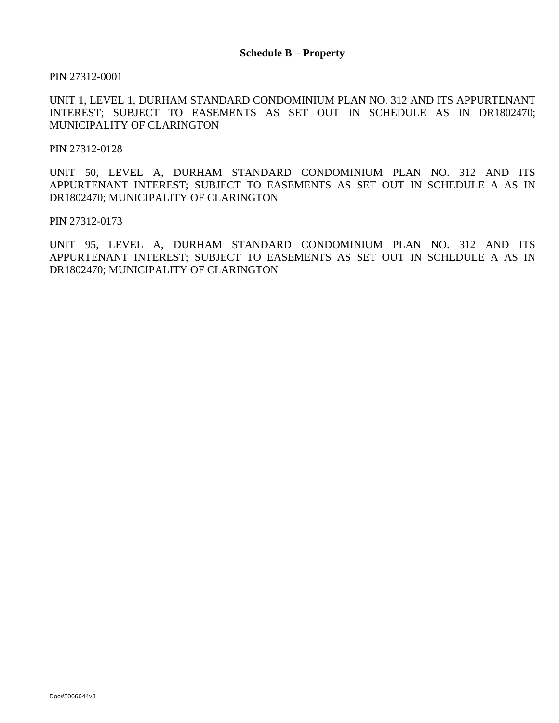PIN 27312-0001

UNIT 1, LEVEL 1, DURHAM STANDARD CONDOMINIUM PLAN NO. 312 AND ITS APPURTENANT INTEREST; SUBJECT TO EASEMENTS AS SET OUT IN SCHEDULE AS IN DR1802470; MUNICIPALITY OF CLARINGTON

PIN 27312-0128

UNIT 50, LEVEL A, DURHAM STANDARD CONDOMINIUM PLAN NO. 312 AND ITS APPURTENANT INTEREST; SUBJECT TO EASEMENTS AS SET OUT IN SCHEDULE A AS IN DR1802470; MUNICIPALITY OF CLARINGTON

PIN 27312-0173

UNIT 95, LEVEL A, DURHAM STANDARD CONDOMINIUM PLAN NO. 312 AND ITS APPURTENANT INTEREST; SUBJECT TO EASEMENTS AS SET OUT IN SCHEDULE A AS IN DR1802470; MUNICIPALITY OF CLARINGTON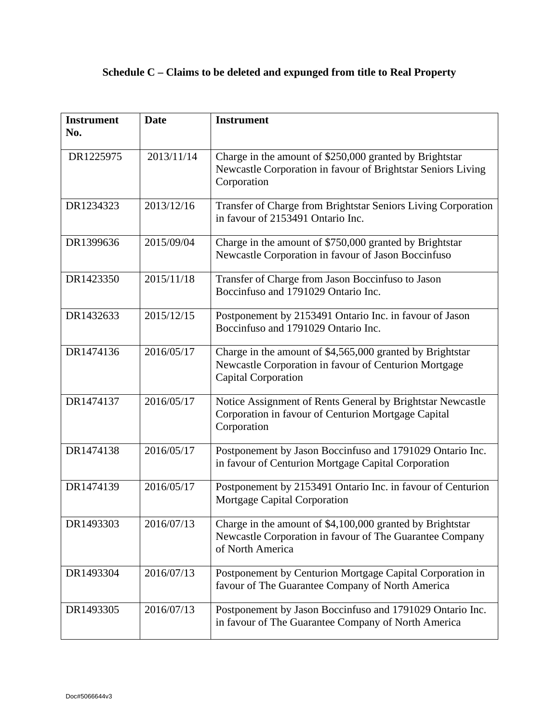# **Schedule C – Claims to be deleted and expunged from title to Real Property**

| <b>Instrument</b><br>No. | <b>Date</b> | <b>Instrument</b>                                                                                                                                |
|--------------------------|-------------|--------------------------------------------------------------------------------------------------------------------------------------------------|
|                          |             |                                                                                                                                                  |
| DR1225975                | 2013/11/14  | Charge in the amount of \$250,000 granted by Brightstar<br>Newcastle Corporation in favour of Brightstar Seniors Living<br>Corporation           |
| DR1234323                | 2013/12/16  | Transfer of Charge from Brightstar Seniors Living Corporation<br>in favour of 2153491 Ontario Inc.                                               |
| DR1399636                | 2015/09/04  | Charge in the amount of \$750,000 granted by Brightstar<br>Newcastle Corporation in favour of Jason Boccinfuso                                   |
| DR1423350                | 2015/11/18  | Transfer of Charge from Jason Boccinfuso to Jason<br>Boccinfuso and 1791029 Ontario Inc.                                                         |
| DR1432633                | 2015/12/15  | Postponement by 2153491 Ontario Inc. in favour of Jason<br>Boccinfuso and 1791029 Ontario Inc.                                                   |
| DR1474136                | 2016/05/17  | Charge in the amount of \$4,565,000 granted by Brightstar<br>Newcastle Corporation in favour of Centurion Mortgage<br><b>Capital Corporation</b> |
| DR1474137                | 2016/05/17  | Notice Assignment of Rents General by Brightstar Newcastle<br>Corporation in favour of Centurion Mortgage Capital<br>Corporation                 |
| DR1474138                | 2016/05/17  | Postponement by Jason Boccinfuso and 1791029 Ontario Inc.<br>in favour of Centurion Mortgage Capital Corporation                                 |
| DR1474139                | 2016/05/17  | Postponement by 2153491 Ontario Inc. in favour of Centurion<br><b>Mortgage Capital Corporation</b>                                               |
| DR1493303                | 2016/07/13  | Charge in the amount of \$4,100,000 granted by Brightstar<br>Newcastle Corporation in favour of The Guarantee Company<br>of North America        |
| DR1493304                | 2016/07/13  | Postponement by Centurion Mortgage Capital Corporation in<br>favour of The Guarantee Company of North America                                    |
| DR1493305                | 2016/07/13  | Postponement by Jason Boccinfuso and 1791029 Ontario Inc.<br>in favour of The Guarantee Company of North America                                 |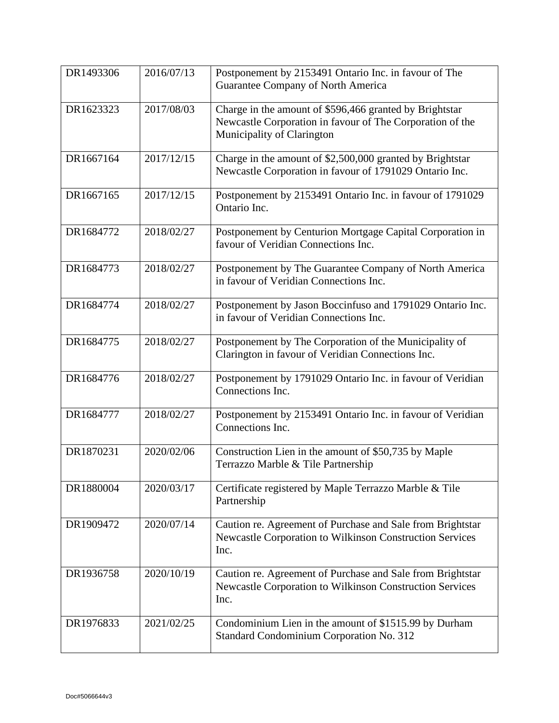| DR1493306 | 2016/07/13 | Postponement by 2153491 Ontario Inc. in favour of The<br>Guarantee Company of North America                                                        |
|-----------|------------|----------------------------------------------------------------------------------------------------------------------------------------------------|
| DR1623323 | 2017/08/03 | Charge in the amount of \$596,466 granted by Brightstar<br>Newcastle Corporation in favour of The Corporation of the<br>Municipality of Clarington |
| DR1667164 | 2017/12/15 | Charge in the amount of \$2,500,000 granted by Brightstar<br>Newcastle Corporation in favour of 1791029 Ontario Inc.                               |
| DR1667165 | 2017/12/15 | Postponement by 2153491 Ontario Inc. in favour of 1791029<br>Ontario Inc.                                                                          |
| DR1684772 | 2018/02/27 | Postponement by Centurion Mortgage Capital Corporation in<br>favour of Veridian Connections Inc.                                                   |
| DR1684773 | 2018/02/27 | Postponement by The Guarantee Company of North America<br>in favour of Veridian Connections Inc.                                                   |
| DR1684774 | 2018/02/27 | Postponement by Jason Boccinfuso and 1791029 Ontario Inc.<br>in favour of Veridian Connections Inc.                                                |
| DR1684775 | 2018/02/27 | Postponement by The Corporation of the Municipality of<br>Clarington in favour of Veridian Connections Inc.                                        |
| DR1684776 | 2018/02/27 | Postponement by 1791029 Ontario Inc. in favour of Veridian<br>Connections Inc.                                                                     |
| DR1684777 | 2018/02/27 | Postponement by 2153491 Ontario Inc. in favour of Veridian<br>Connections Inc.                                                                     |
| DR1870231 | 2020/02/06 | Construction Lien in the amount of \$50,735 by Maple<br>Terrazzo Marble & Tile Partnership                                                         |
| DR1880004 | 2020/03/17 | Certificate registered by Maple Terrazzo Marble & Tile<br>Partnership                                                                              |
| DR1909472 | 2020/07/14 | Caution re. Agreement of Purchase and Sale from Brightstar<br>Newcastle Corporation to Wilkinson Construction Services<br>Inc.                     |
| DR1936758 | 2020/10/19 | Caution re. Agreement of Purchase and Sale from Brightstar<br>Newcastle Corporation to Wilkinson Construction Services<br>Inc.                     |
| DR1976833 | 2021/02/25 | Condominium Lien in the amount of \$1515.99 by Durham<br>Standard Condominium Corporation No. 312                                                  |